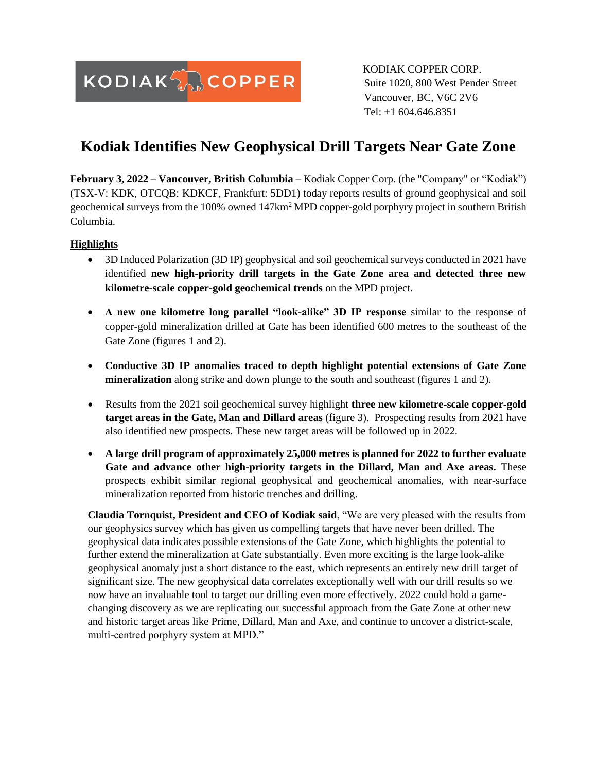**KODIAKANCOPPER** 

KODIAK COPPER CORP. Suite 1020, 800 West Pender Street Vancouver, BC, V6C 2V6 Tel: +1 604.646.8351

# **Kodiak Identifies New Geophysical Drill Targets Near Gate Zone**

**February 3, 2022 – Vancouver, British Columbia** – Kodiak Copper Corp. (the "Company" or "Kodiak") (TSX-V: KDK, OTCQB: KDKCF, Frankfurt: 5DD1) today reports results of ground geophysical and soil geochemical surveys from the 100% owned 147km<sup>2</sup> MPD copper-gold porphyry project in southern British Columbia.

## **Highlights**

- 3D Induced Polarization (3D IP) geophysical and soil geochemical surveys conducted in 2021 have identified **new high-priority drill targets in the Gate Zone area and detected three new kilometre-scale copper-gold geochemical trends** on the MPD project.
- **A new one kilometre long parallel "look-alike" 3D IP response** similar to the response of copper-gold mineralization drilled at Gate has been identified 600 metres to the southeast of the Gate Zone (figures 1 and 2).
- **Conductive 3D IP anomalies traced to depth highlight potential extensions of Gate Zone mineralization** along strike and down plunge to the south and southeast (figures 1 and 2).
- Results from the 2021 soil geochemical survey highlight **three new kilometre-scale copper-gold target areas in the Gate, Man and Dillard areas** (figure 3). Prospecting results from 2021 have also identified new prospects. These new target areas will be followed up in 2022.
- **A large drill program of approximately 25,000 metres is planned for 2022 to further evaluate Gate and advance other high-priority targets in the Dillard, Man and Axe areas.** These prospects exhibit similar regional geophysical and geochemical anomalies, with near-surface mineralization reported from historic trenches and drilling.

**Claudia Tornquist, President and CEO of Kodiak said**, "We are very pleased with the results from our geophysics survey which has given us compelling targets that have never been drilled. The geophysical data indicates possible extensions of the Gate Zone, which highlights the potential to further extend the mineralization at Gate substantially. Even more exciting is the large look-alike geophysical anomaly just a short distance to the east, which represents an entirely new drill target of significant size. The new geophysical data correlates exceptionally well with our drill results so we now have an invaluable tool to target our drilling even more effectively. 2022 could hold a gamechanging discovery as we are replicating our successful approach from the Gate Zone at other new and historic target areas like Prime, Dillard, Man and Axe, and continue to uncover a district-scale, multi-centred porphyry system at MPD."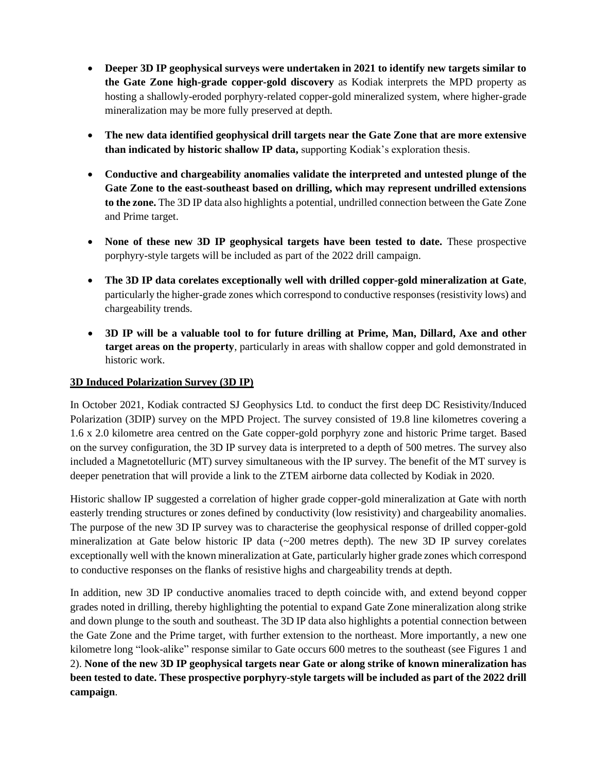- **Deeper 3D IP geophysical surveys were undertaken in 2021 to identify new targets similar to the Gate Zone high-grade copper-gold discovery** as Kodiak interprets the MPD property as hosting a shallowly-eroded porphyry-related copper-gold mineralized system, where higher-grade mineralization may be more fully preserved at depth.
- **The new data identified geophysical drill targets near the Gate Zone that are more extensive than indicated by historic shallow IP data,** supporting Kodiak's exploration thesis.
- **Conductive and chargeability anomalies validate the interpreted and untested plunge of the Gate Zone to the east-southeast based on drilling, which may represent undrilled extensions to the zone.** The 3D IP data also highlights a potential, undrilled connection between the Gate Zone and Prime target.
- **None of these new 3D IP geophysical targets have been tested to date.** These prospective porphyry-style targets will be included as part of the 2022 drill campaign.
- **The 3D IP data corelates exceptionally well with drilled copper-gold mineralization at Gate**, particularly the higher-grade zones which correspond to conductive responses (resistivity lows) and chargeability trends.
- **3D IP will be a valuable tool to for future drilling at Prime, Man, Dillard, Axe and other target areas on the property**, particularly in areas with shallow copper and gold demonstrated in historic work.

## **3D Induced Polarization Survey (3D IP)**

In October 2021, Kodiak contracted SJ Geophysics Ltd. to conduct the first deep DC Resistivity/Induced Polarization (3DIP) survey on the MPD Project. The survey consisted of 19.8 line kilometres covering a 1.6 x 2.0 kilometre area centred on the Gate copper-gold porphyry zone and historic Prime target. Based on the survey configuration, the 3D IP survey data is interpreted to a depth of 500 metres. The survey also included a Magnetotelluric (MT) survey simultaneous with the IP survey. The benefit of the MT survey is deeper penetration that will provide a link to the ZTEM airborne data collected by Kodiak in 2020.

Historic shallow IP suggested a correlation of higher grade copper-gold mineralization at Gate with north easterly trending structures or zones defined by conductivity (low resistivity) and chargeability anomalies. The purpose of the new 3D IP survey was to characterise the geophysical response of drilled copper-gold mineralization at Gate below historic IP data (~200 metres depth). The new 3D IP survey corelates exceptionally well with the known mineralization at Gate, particularly higher grade zones which correspond to conductive responses on the flanks of resistive highs and chargeability trends at depth.

In addition, new 3D IP conductive anomalies traced to depth coincide with, and extend beyond copper grades noted in drilling, thereby highlighting the potential to expand Gate Zone mineralization along strike and down plunge to the south and southeast. The 3D IP data also highlights a potential connection between the Gate Zone and the Prime target, with further extension to the northeast. More importantly, a new one kilometre long "look-alike" response similar to Gate occurs 600 metres to the southeast (see Figures 1 and 2). **None of the new 3D IP geophysical targets near Gate or along strike of known mineralization has been tested to date. These prospective porphyry-style targets will be included as part of the 2022 drill campaign**.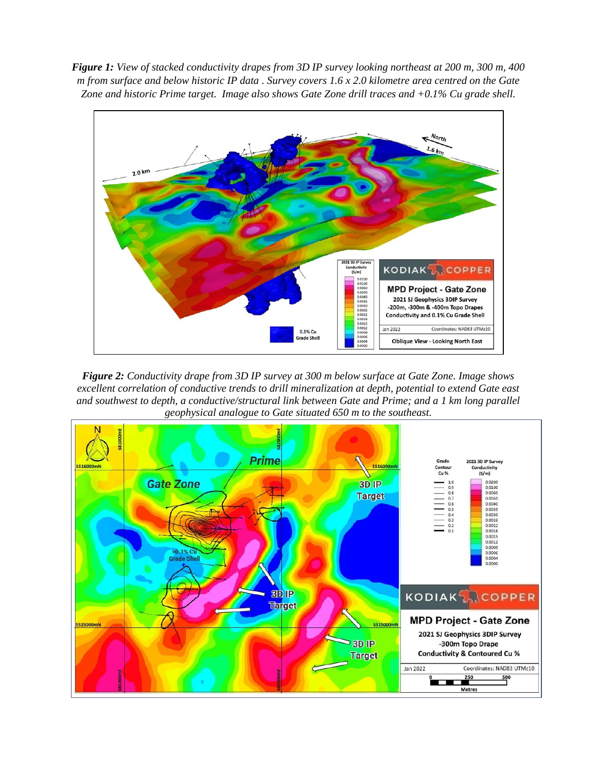*Figure 1: View of stacked conductivity drapes from 3D IP survey looking northeast at 200 m, 300 m, 400 m from surface and below historic IP data . Survey covers 1.6 x 2.0 kilometre area centred on the Gate Zone and historic Prime target. Image also shows Gate Zone drill traces and +0.1% Cu grade shell.*



*Figure 2: Conductivity drape from 3D IP survey at 300 m below surface at Gate Zone. Image shows excellent correlation of conductive trends to drill mineralization at depth, potential to extend Gate east and southwest to depth, a conductive/structural link between Gate and Prime; and a 1 km long parallel geophysical analogue to Gate situated 650 m to the southeast.*

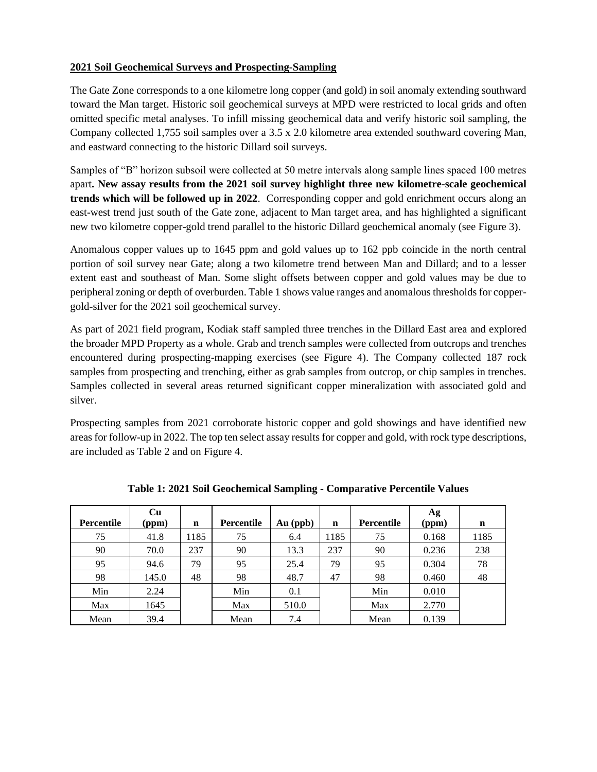## **2021 Soil Geochemical Surveys and Prospecting-Sampling**

The Gate Zone corresponds to a one kilometre long copper (and gold) in soil anomaly extending southward toward the Man target. Historic soil geochemical surveys at MPD were restricted to local grids and often omitted specific metal analyses. To infill missing geochemical data and verify historic soil sampling, the Company collected 1,755 soil samples over a 3.5 x 2.0 kilometre area extended southward covering Man, and eastward connecting to the historic Dillard soil surveys.

Samples of "B" horizon subsoil were collected at 50 metre intervals along sample lines spaced 100 metres apart**. New assay results from the 2021 soil survey highlight three new kilometre-scale geochemical trends which will be followed up in 2022**. Corresponding copper and gold enrichment occurs along an east-west trend just south of the Gate zone, adjacent to Man target area, and has highlighted a significant new two kilometre copper-gold trend parallel to the historic Dillard geochemical anomaly (see Figure 3).

Anomalous copper values up to 1645 ppm and gold values up to 162 ppb coincide in the north central portion of soil survey near Gate; along a two kilometre trend between Man and Dillard; and to a lesser extent east and southeast of Man. Some slight offsets between copper and gold values may be due to peripheral zoning or depth of overburden. Table 1 shows value ranges and anomalous thresholds for coppergold-silver for the 2021 soil geochemical survey.

As part of 2021 field program, Kodiak staff sampled three trenches in the Dillard East area and explored the broader MPD Property as a whole. Grab and trench samples were collected from outcrops and trenches encountered during prospecting-mapping exercises (see Figure 4). The Company collected 187 rock samples from prospecting and trenching, either as grab samples from outcrop, or chip samples in trenches. Samples collected in several areas returned significant copper mineralization with associated gold and silver.

Prospecting samples from 2021 corroborate historic copper and gold showings and have identified new areas for follow-up in 2022. The top ten select assay results for copper and gold, with rock type descriptions, are included as Table 2 and on Figure 4.

| Percentile | Cu<br>(ppm) | $\mathbf n$ | <b>Percentile</b> | $Au$ (ppb) | $\mathbf n$ | <b>Percentile</b> | Ag<br>(ppm) | n    |
|------------|-------------|-------------|-------------------|------------|-------------|-------------------|-------------|------|
| 75         | 41.8        | 1185        | 75                | 6.4        | 1185        | 75                | 0.168       | 1185 |
| 90         | 70.0        | 237         | 90                | 13.3       | 237         | 90                | 0.236       | 238  |
| 95         | 94.6        | 79          | 95                | 25.4       | 79          | 95                | 0.304       | 78   |
| 98         | 145.0       | 48          | 98                | 48.7       | 47          | 98                | 0.460       | 48   |
| Min        | 2.24        |             | Min               | 0.1        |             | Min               | 0.010       |      |
| Max        | 1645        |             | Max               | 510.0      |             | Max               | 2.770       |      |
| Mean       | 39.4        |             | Mean              | 7.4        |             | Mean              | 0.139       |      |

**Table 1: 2021 Soil Geochemical Sampling - Comparative Percentile Values**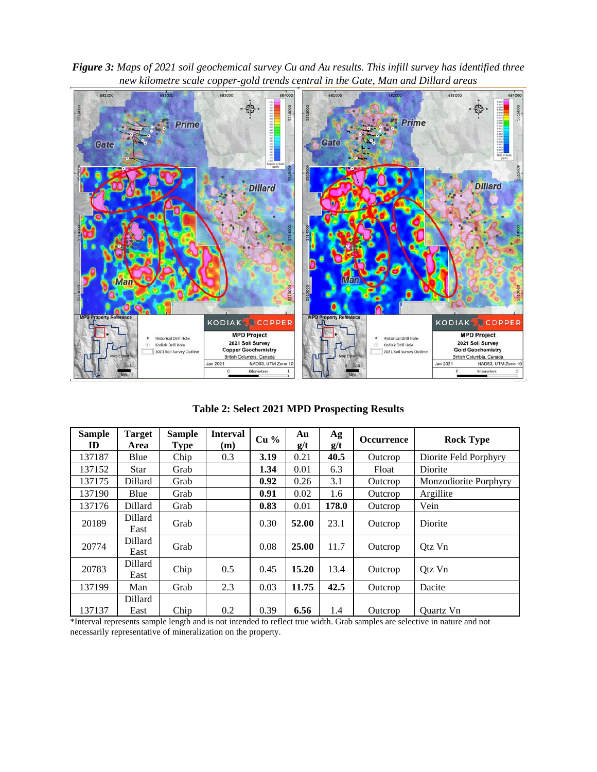



**Table 2: Select 2021 MPD Prospecting Results**

| <b>Sample</b><br>ID | <b>Target</b><br>Area | <b>Sample</b><br><b>Type</b> | <b>Interval</b><br>(m) | Cu <sub>96</sub> | Au<br>g/t | $\mathbf{A}\mathbf{g}$<br>g/t | <b>Occurrence</b> | <b>Rock Type</b>      |  |
|---------------------|-----------------------|------------------------------|------------------------|------------------|-----------|-------------------------------|-------------------|-----------------------|--|
| 137187              | Blue                  | Chip                         | 0.3                    | 3.19             | 0.21      | 40.5                          | Outcrop           | Diorite Feld Porphyry |  |
| 137152              | <b>Star</b>           | Grab                         |                        | 1.34             | 0.01      | 6.3                           | Float             | Diorite               |  |
| 137175              | Dillard               | Grab                         |                        | 0.92             | 0.26      | 3.1                           | Outcrop           | Monzodiorite Porphyry |  |
| 137190              | Blue                  | Grab                         |                        | 0.91             | 0.02      | 1.6                           | Outcrop           | Argillite             |  |
| 137176              | Dillard               | Grab                         |                        | 0.83             | 0.01      | 178.0                         | Outcrop           | Vein                  |  |
| 20189               | Dillard<br>East       | Grab                         |                        | 0.30             | 52.00     | 23.1                          | Outcrop           | Diorite               |  |
| 20774               | Dillard<br>East       | Grab                         |                        | 0.08             | 25.00     | 11.7                          | Outcrop           | Qtz Vn                |  |
| 20783               | Dillard<br>East       | Chip                         | 0.5                    | 0.45             | 15.20     | 13.4                          | Outcrop           | Otz Vn                |  |
| 137199              | Man                   | Grab                         | 2.3                    | 0.03             | 11.75     | 42.5                          | Outcrop           | Dacite                |  |
| 137137              | Dillard<br>East       | Chip                         | 0.2                    | 0.39             | 6.56      | 1.4                           | Outcrop           | <b>Ouartz Vn</b>      |  |

\*Interval represents sample length and is not intended to reflect true width. Grab samples are selective in nature and not necessarily representative of mineralization on the property.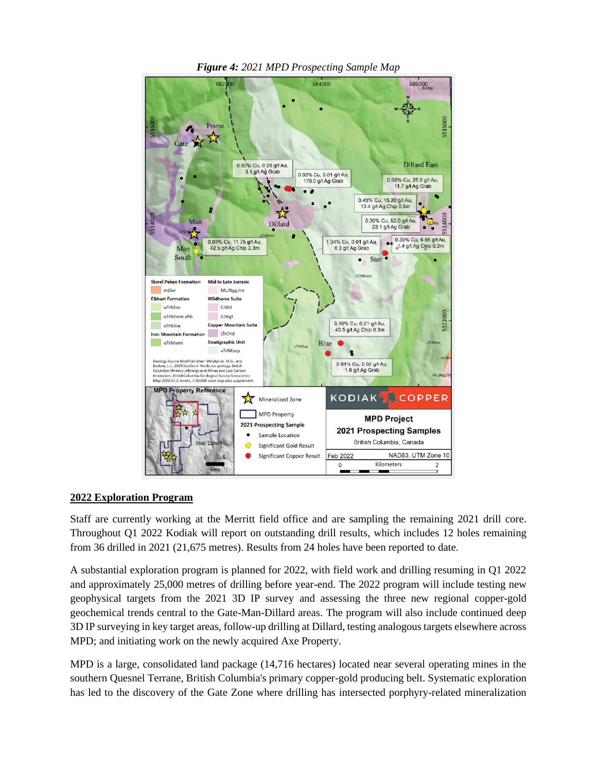

*Figure 4: 2021 MPD Prospecting Sample Map*

#### **2022 Exploration Program**

Staff are currently working at the Merritt field office and are sampling the remaining 2021 drill core. Throughout Q1 2022 Kodiak will report on outstanding drill results, which includes 12 holes remaining from 36 drilled in 2021 (21,675 metres). Results from 24 holes have been reported to date.

A substantial exploration program is planned for 2022, with field work and drilling resuming in Q1 2022 and approximately 25,000 metres of drilling before year-end. The 2022 program will include testing new geophysical targets from the 2021 3D IP survey and assessing the three new regional copper-gold geochemical trends central to the Gate-Man-Dillard areas. The program will also include continued deep 3D IP surveying in key target areas, follow-up drilling at Dillard, testing analogous targets elsewhere across MPD; and initiating work on the newly acquired Axe Property.

MPD is a large, consolidated land package (14,716 hectares) located near several operating mines in the southern Quesnel Terrane, British Columbia's primary copper-gold producing belt. Systematic exploration has led to the discovery of the Gate Zone where drilling has intersected porphyry-related mineralization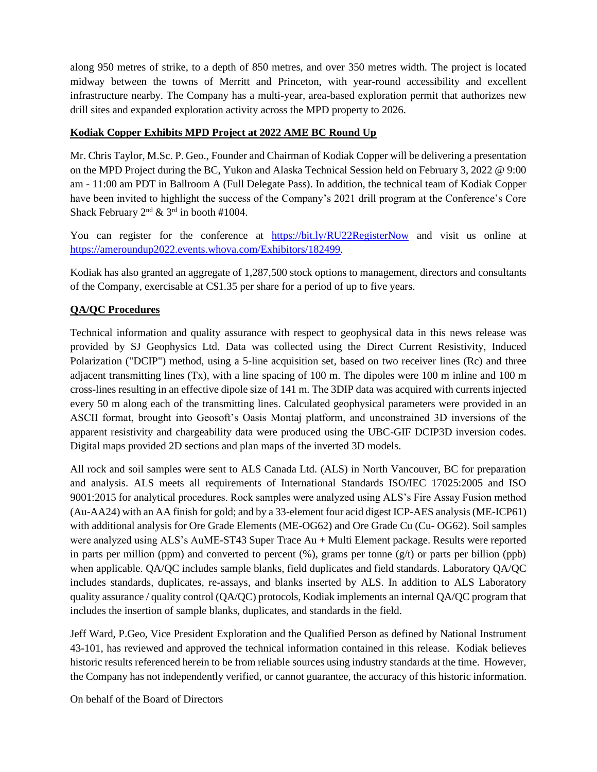along 950 metres of strike, to a depth of 850 metres, and over 350 metres width. The project is located midway between the towns of Merritt and Princeton, with year-round accessibility and excellent infrastructure nearby. The Company has a multi-year, area-based exploration permit that authorizes new drill sites and expanded exploration activity across the MPD property to 2026.

## **Kodiak Copper Exhibits MPD Project at 2022 AME BC Round Up**

Mr. Chris Taylor, M.Sc. P. Geo., Founder and Chairman of Kodiak Copper will be delivering a presentation on the MPD Project during the BC, Yukon and Alaska Technical Session held on February 3, 2022 @ 9:00 am - 11:00 am PDT in Ballroom A (Full Delegate Pass). In addition, the technical team of Kodiak Copper have been invited to highlight the success of the Company's 2021 drill program at the Conference's Core Shack February  $2<sup>nd</sup>$  &  $3<sup>rd</sup>$  in booth #1004.

You can register for the conference at <https://bit.ly/RU22RegisterNow> and visit us online at [https://ameroundup2022.events.whova.com/Exhibitors/182499.](https://ameroundup2022.events.whova.com/Exhibitors/182499)

Kodiak has also granted an aggregate of 1,287,500 stock options to management, directors and consultants of the Company, exercisable at C\$1.35 per share for a period of up to five years.

## **QA/QC Procedures**

Technical information and quality assurance with respect to geophysical data in this news release was provided by SJ Geophysics Ltd. Data was collected using the Direct Current Resistivity, Induced Polarization ("DCIP") method, using a 5-line acquisition set, based on two receiver lines (Rc) and three adjacent transmitting lines (Tx), with a line spacing of 100 m. The dipoles were 100 m inline and 100 m cross-lines resulting in an effective dipole size of 141 m. The 3DIP data was acquired with currents injected every 50 m along each of the transmitting lines. Calculated geophysical parameters were provided in an ASCII format, brought into Geosoft's Oasis Montaj platform, and unconstrained 3D inversions of the apparent resistivity and chargeability data were produced using the UBC-GIF DCIP3D inversion codes. Digital maps provided 2D sections and plan maps of the inverted 3D models.

All rock and soil samples were sent to ALS Canada Ltd. (ALS) in North Vancouver, BC for preparation and analysis. ALS meets all requirements of International Standards ISO/IEC 17025:2005 and ISO 9001:2015 for analytical procedures. Rock samples were analyzed using ALS's Fire Assay Fusion method (Au-AA24) with an AA finish for gold; and by a 33-element four acid digest ICP-AES analysis (ME-ICP61) with additional analysis for Ore Grade Elements (ME-OG62) and Ore Grade Cu (Cu- OG62). Soil samples were analyzed using ALS's AuME-ST43 Super Trace Au + Multi Element package. Results were reported in parts per million (ppm) and converted to percent  $(\%)$ , grams per tonne  $(g/t)$  or parts per billion (ppb) when applicable. QA/QC includes sample blanks, field duplicates and field standards. Laboratory QA/QC includes standards, duplicates, re-assays, and blanks inserted by ALS. In addition to ALS Laboratory quality assurance / quality control (QA/QC) protocols, Kodiak implements an internal QA/QC program that includes the insertion of sample blanks, duplicates, and standards in the field.

Jeff Ward, P.Geo, Vice President Exploration and the Qualified Person as defined by National Instrument 43-101, has reviewed and approved the technical information contained in this release. Kodiak believes historic results referenced herein to be from reliable sources using industry standards at the time. However, the Company has not independently verified, or cannot guarantee, the accuracy of this historic information.

On behalf of the Board of Directors